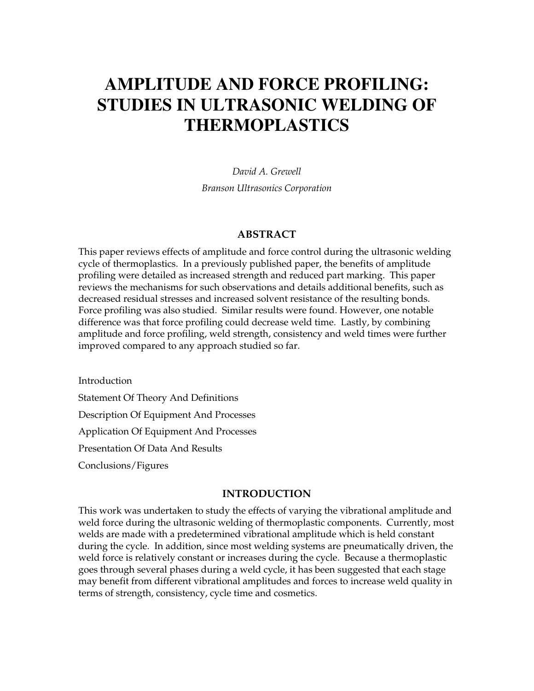# **AMPLITUDE AND FORCE PROFILING: STUDIES IN ULTRASONIC WELDING OF THERMOPLASTICS**

*David A. Grewell Branson Ultrasonics Corporation*

## **ABSTRACT**

This paper reviews effects of amplitude and force control during the ultrasonic welding cycle of thermoplastics. In a previously published paper, the benefits of amplitude profiling were detailed as increased strength and reduced part marking. This paper reviews the mechanisms for such observations and details additional benefits, such as decreased residual stresses and increased solvent resistance of the resulting bonds. Force profiling was also studied. Similar results were found. However, one notable difference was that force profiling could decrease weld time. Lastly, by combining amplitude and force profiling, weld strength, consistency and weld times were further improved compared to any approach studied so far.

Introduction Statement Of Theory And Definitions Description Of Equipment And Processes Application Of Equipment And Processes Presentation Of Data And Results Conclusions/Figures

#### **INTRODUCTION**

This work was undertaken to study the effects of varying the vibrational amplitude and weld force during the ultrasonic welding of thermoplastic components. Currently, most welds are made with a predetermined vibrational amplitude which is held constant during the cycle. In addition, since most welding systems are pneumatically driven, the weld force is relatively constant or increases during the cycle. Because a thermoplastic goes through several phases during a weld cycle, it has been suggested that each stage may benefit from different vibrational amplitudes and forces to increase weld quality in terms of strength, consistency, cycle time and cosmetics.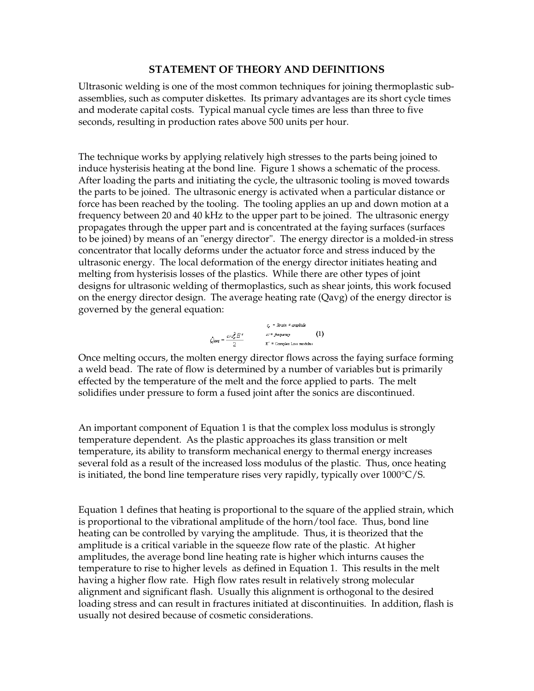# **STATEMENT OF THEORY AND DEFINITIONS**

Ultrasonic welding is one of the most common techniques for joining thermoplastic subassemblies, such as computer diskettes. Its primary advantages are its short cycle times and moderate capital costs. Typical manual cycle times are less than three to five seconds, resulting in production rates above 500 units per hour.

The technique works by applying relatively high stresses to the parts being joined to induce hysterisis heating at the bond line. Figure 1 shows a schematic of the process. After loading the parts and initiating the cycle, the ultrasonic tooling is moved towards the parts to be joined. The ultrasonic energy is activated when a particular distance or force has been reached by the tooling. The tooling applies an up and down motion at a frequency between 20 and 40 kHz to the upper part to be joined. The ultrasonic energy propagates through the upper part and is concentrated at the faying surfaces (surfaces to be joined) by means of an "energy director". The energy director is a molded-in stress concentrator that locally deforms under the actuator force and stress induced by the ultrasonic energy. The local deformation of the energy director initiates heating and melting from hysterisis losses of the plastics. While there are other types of joint designs for ultrasonic welding of thermoplastics, such as shear joints, this work focused on the energy director design. The average heating rate (Qavg) of the energy director is governed by the general equation:



Once melting occurs, the molten energy director flows across the faying surface forming a weld bead. The rate of flow is determined by a number of variables but is primarily effected by the temperature of the melt and the force applied to parts. The melt solidifies under pressure to form a fused joint after the sonics are discontinued.

An important component of Equation 1 is that the complex loss modulus is strongly temperature dependent. As the plastic approaches its glass transition or melt temperature, its ability to transform mechanical energy to thermal energy increases several fold as a result of the increased loss modulus of the plastic. Thus, once heating is initiated, the bond line temperature rises very rapidly, typically over  $1000^{\circ}C/S$ .

Equation 1 defines that heating is proportional to the square of the applied strain, which is proportional to the vibrational amplitude of the horn/tool face. Thus, bond line heating can be controlled by varying the amplitude. Thus, it is theorized that the amplitude is a critical variable in the squeeze flow rate of the plastic. At higher amplitudes, the average bond line heating rate is higher which inturns causes the temperature to rise to higher levels as defined in Equation 1. This results in the melt having a higher flow rate. High flow rates result in relatively strong molecular alignment and significant flash. Usually this alignment is orthogonal to the desired loading stress and can result in fractures initiated at discontinuities. In addition, flash is usually not desired because of cosmetic considerations.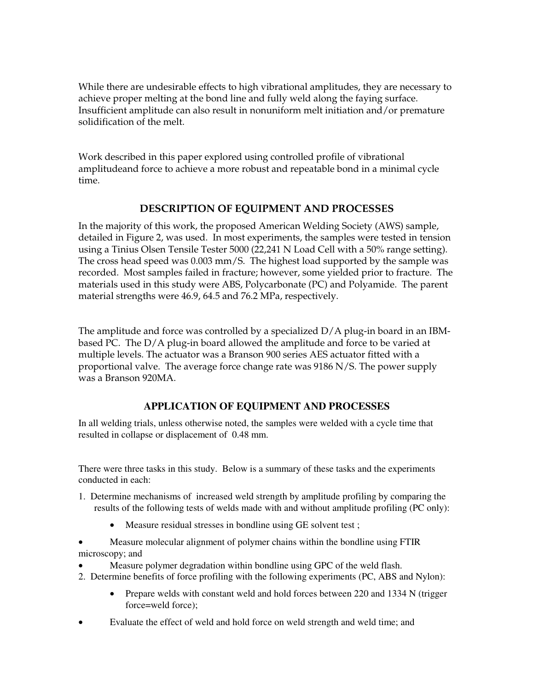While there are undesirable effects to high vibrational amplitudes, they are necessary to achieve proper melting at the bond line and fully weld along the faying surface. Insufficient amplitude can also result in nonuniform melt initiation and/or premature solidification of the melt.

Work described in this paper explored using controlled profile of vibrational amplitudeand force to achieve a more robust and repeatable bond in a minimal cycle time.

# **DESCRIPTION OF EQUIPMENT AND PROCESSES**

In the majority of this work, the proposed American Welding Society (AWS) sample, detailed in Figure 2, was used. In most experiments, the samples were tested in tension using a Tinius Olsen Tensile Tester 5000 (22,241 N Load Cell with a 50% range setting). The cross head speed was 0.003 mm/S. The highest load supported by the sample was recorded. Most samples failed in fracture; however, some yielded prior to fracture. The materials used in this study were ABS, Polycarbonate (PC) and Polyamide. The parent material strengths were 46.9, 64.5 and 76.2 MPa, respectively.

The amplitude and force was controlled by a specialized  $D/A$  plug-in board in an IBMbased PC. The D/A plug-in board allowed the amplitude and force to be varied at multiple levels. The actuator was a Branson 900 series AES actuator fitted with a proportional valve. The average force change rate was 9186 N/S. The power supply was a Branson 920MA.

# **APPLICATION OF EQUIPMENT AND PROCESSES**

In all welding trials, unless otherwise noted, the samples were welded with a cycle time that resulted in collapse or displacement of 0.48 mm.

There were three tasks in this study. Below is a summary of these tasks and the experiments conducted in each:

- 1. Determine mechanisms of increased weld strength by amplitude profiling by comparing the results of the following tests of welds made with and without amplitude profiling (PC only):
	- Measure residual stresses in bondline using GE solvent test;

• Measure molecular alignment of polymer chains within the bondline using FTIR microscopy; and

- Measure polymer degradation within bondline using GPC of the weld flash.
- 2. Determine benefits of force profiling with the following experiments (PC, ABS and Nylon):
	- Prepare welds with constant weld and hold forces between 220 and 1334 N (trigger force=weld force);
- Evaluate the effect of weld and hold force on weld strength and weld time; and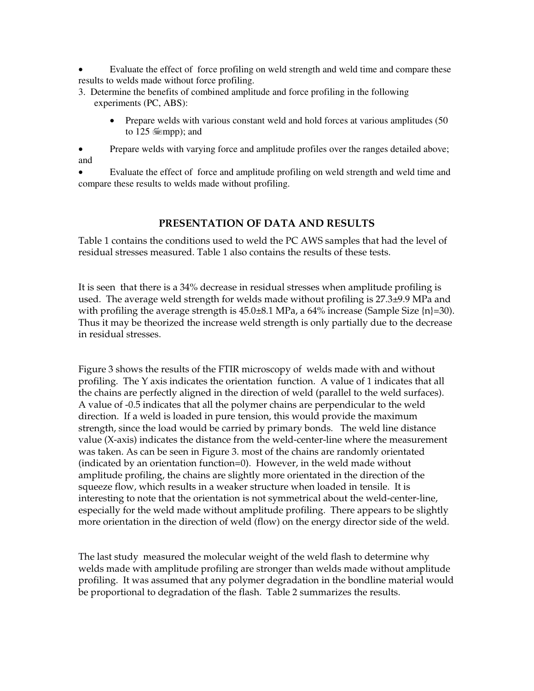Evaluate the effect of force profiling on weld strength and weld time and compare these results to welds made without force profiling.

- 3. Determine the benefits of combined amplitude and force profiling in the following experiments (PC, ABS):
	- Prepare welds with various constant weld and hold forces at various amplitudes (50 to 125  $\equiv$ mpp); and

• Prepare welds with varying force and amplitude profiles over the ranges detailed above; and

• Evaluate the effect of force and amplitude profiling on weld strength and weld time and compare these results to welds made without profiling.

# **PRESENTATION OF DATA AND RESULTS**

Table 1 contains the conditions used to weld the PC AWS samples that had the level of residual stresses measured. Table 1 also contains the results of these tests.

It is seen that there is a 34% decrease in residual stresses when amplitude profiling is used. The average weld strength for welds made without profiling is 27.3±9.9 MPa and with profiling the average strength is  $45.0\pm8.1$  MPa, a  $64\%$  increase (Sample Size  $\{n\}$ =30). Thus it may be theorized the increase weld strength is only partially due to the decrease in residual stresses.

Figure 3 shows the results of the FTIR microscopy of welds made with and without profiling. The Y axis indicates the orientation function. A value of 1 indicates that all the chains are perfectly aligned in the direction of weld (parallel to the weld surfaces). A value of -0.5 indicates that all the polymer chains are perpendicular to the weld direction. If a weld is loaded in pure tension, this would provide the maximum strength, since the load would be carried by primary bonds. The weld line distance value (X-axis) indicates the distance from the weld-center-line where the measurement was taken. As can be seen in Figure 3. most of the chains are randomly orientated (indicated by an orientation function=0). However, in the weld made without amplitude profiling, the chains are slightly more orientated in the direction of the squeeze flow, which results in a weaker structure when loaded in tensile. It is interesting to note that the orientation is not symmetrical about the weld-center-line, especially for the weld made without amplitude profiling. There appears to be slightly more orientation in the direction of weld (flow) on the energy director side of the weld.

The last study measured the molecular weight of the weld flash to determine why welds made with amplitude profiling are stronger than welds made without amplitude profiling. It was assumed that any polymer degradation in the bondline material would be proportional to degradation of the flash. Table 2 summarizes the results.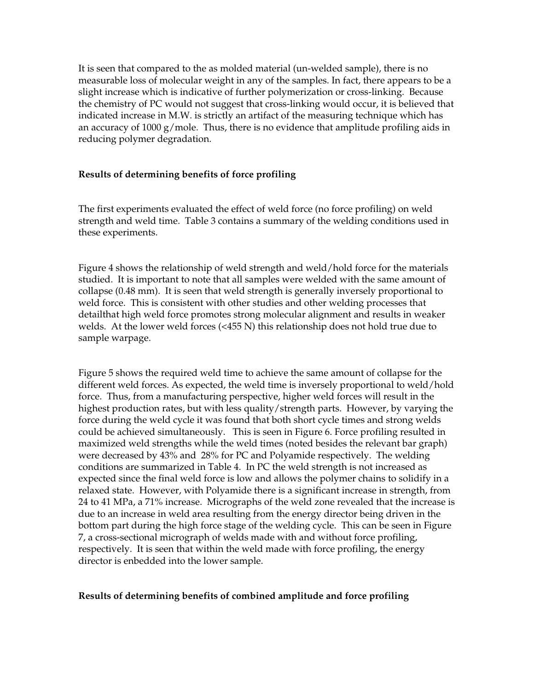It is seen that compared to the as molded material (un-welded sample), there is no measurable loss of molecular weight in any of the samples. In fact, there appears to be a slight increase which is indicative of further polymerization or cross-linking. Because the chemistry of PC would not suggest that cross-linking would occur, it is believed that indicated increase in M.W. is strictly an artifact of the measuring technique which has an accuracy of  $1000 \text{ g/mole}$ . Thus, there is no evidence that amplitude profiling aids in reducing polymer degradation.

## **Results of determining benefits of force profiling**

The first experiments evaluated the effect of weld force (no force profiling) on weld strength and weld time. Table 3 contains a summary of the welding conditions used in these experiments.

Figure 4 shows the relationship of weld strength and weld/hold force for the materials studied. It is important to note that all samples were welded with the same amount of collapse (0.48 mm). It is seen that weld strength is generally inversely proportional to weld force. This is consistent with other studies and other welding processes that detailthat high weld force promotes strong molecular alignment and results in weaker welds. At the lower weld forces (<455 N) this relationship does not hold true due to sample warpage.

Figure 5 shows the required weld time to achieve the same amount of collapse for the different weld forces. As expected, the weld time is inversely proportional to weld/hold force. Thus, from a manufacturing perspective, higher weld forces will result in the highest production rates, but with less quality/strength parts. However, by varying the force during the weld cycle it was found that both short cycle times and strong welds could be achieved simultaneously. This is seen in Figure 6. Force profiling resulted in maximized weld strengths while the weld times (noted besides the relevant bar graph) were decreased by 43% and 28% for PC and Polyamide respectively. The welding conditions are summarized in Table 4. In PC the weld strength is not increased as expected since the final weld force is low and allows the polymer chains to solidify in a relaxed state. However, with Polyamide there is a significant increase in strength, from 24 to 41 MPa, a 71% increase. Micrographs of the weld zone revealed that the increase is due to an increase in weld area resulting from the energy director being driven in the bottom part during the high force stage of the welding cycle. This can be seen in Figure 7, a cross-sectional micrograph of welds made with and without force profiling, respectively. It is seen that within the weld made with force profiling, the energy director is enbedded into the lower sample.

## **Results of determining benefits of combined amplitude and force profiling**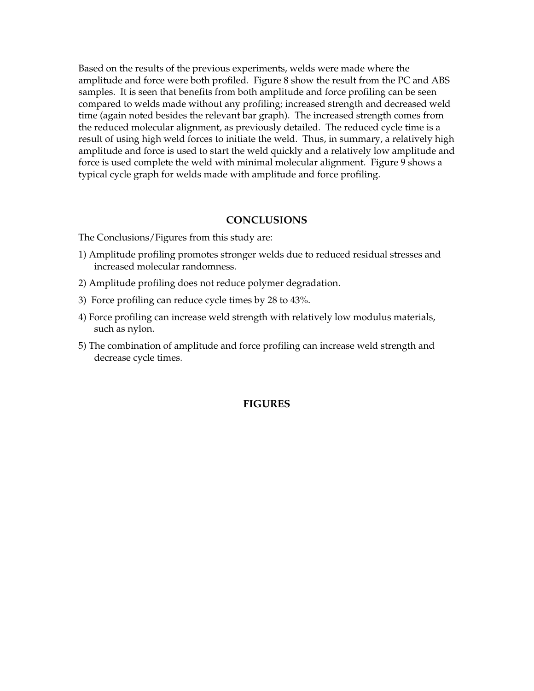Based on the results of the previous experiments, welds were made where the amplitude and force were both profiled. Figure 8 show the result from the PC and ABS samples. It is seen that benefits from both amplitude and force profiling can be seen compared to welds made without any profiling; increased strength and decreased weld time (again noted besides the relevant bar graph). The increased strength comes from the reduced molecular alignment, as previously detailed. The reduced cycle time is a result of using high weld forces to initiate the weld. Thus, in summary, a relatively high amplitude and force is used to start the weld quickly and a relatively low amplitude and force is used complete the weld with minimal molecular alignment. Figure 9 shows a typical cycle graph for welds made with amplitude and force profiling.

# **CONCLUSIONS**

The Conclusions/Figures from this study are:

- 1) Amplitude profiling promotes stronger welds due to reduced residual stresses and increased molecular randomness.
- 2) Amplitude profiling does not reduce polymer degradation.
- 3) Force profiling can reduce cycle times by 28 to 43%.
- 4) Force profiling can increase weld strength with relatively low modulus materials, such as nylon.
- 5) The combination of amplitude and force profiling can increase weld strength and decrease cycle times.

#### **FIGURES**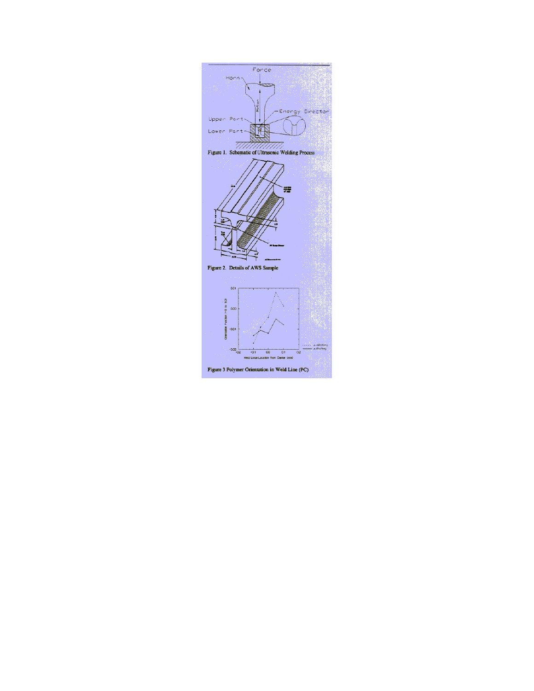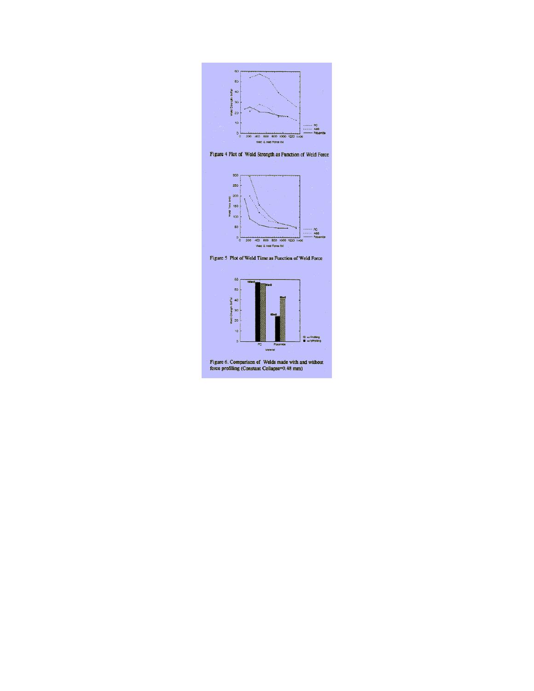